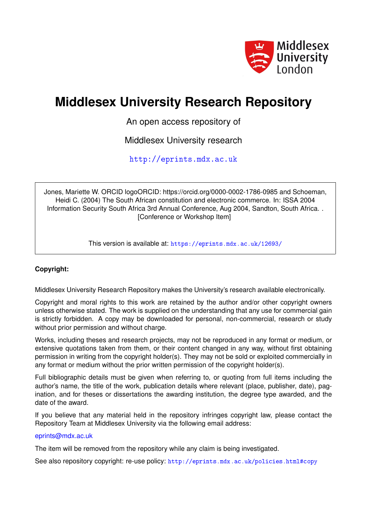

# **Middlesex University Research Repository**

An open access repository of

Middlesex University research

<http://eprints.mdx.ac.uk>

Jones, Mariette W. ORCID logoORCID: https://orcid.org/0000-0002-1786-0985 and Schoeman, Heidi C. (2004) The South African constitution and electronic commerce. In: ISSA 2004 Information Security South Africa 3rd Annual Conference, Aug 2004, Sandton, South Africa. . [Conference or Workshop Item]

This version is available at: <https://eprints.mdx.ac.uk/12693/>

#### **Copyright:**

Middlesex University Research Repository makes the University's research available electronically.

Copyright and moral rights to this work are retained by the author and/or other copyright owners unless otherwise stated. The work is supplied on the understanding that any use for commercial gain is strictly forbidden. A copy may be downloaded for personal, non-commercial, research or study without prior permission and without charge.

Works, including theses and research projects, may not be reproduced in any format or medium, or extensive quotations taken from them, or their content changed in any way, without first obtaining permission in writing from the copyright holder(s). They may not be sold or exploited commercially in any format or medium without the prior written permission of the copyright holder(s).

Full bibliographic details must be given when referring to, or quoting from full items including the author's name, the title of the work, publication details where relevant (place, publisher, date), pagination, and for theses or dissertations the awarding institution, the degree type awarded, and the date of the award.

If you believe that any material held in the repository infringes copyright law, please contact the Repository Team at Middlesex University via the following email address:

#### [eprints@mdx.ac.uk](mailto:eprints@mdx.ac.uk)

The item will be removed from the repository while any claim is being investigated.

See also repository copyright: re-use policy: <http://eprints.mdx.ac.uk/policies.html#copy>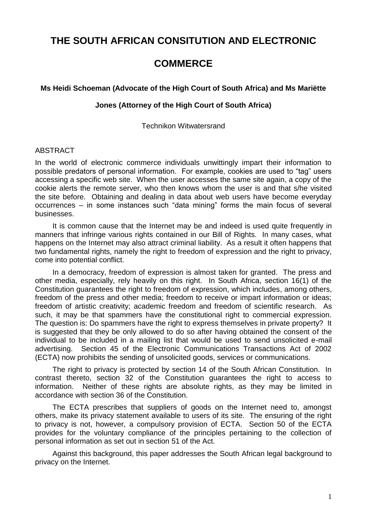# **THE SOUTH AFRICAN CONSITUTION AND ELECTRONIC**

# **COMMERCE**

#### **Ms Heidi Schoeman (Advocate of the High Court of South Africa) and Ms Mariëtte**

#### **Jones (Attorney of the High Court of South Africa)**

Technikon Witwatersrand

#### ABSTRACT

In the world of electronic commerce individuals unwittingly impart their information to possible predators of personal information. For example, cookies are used to "tag" users accessing a specific web site. When the user accesses the same site again, a copy of the cookie alerts the remote server, who then knows whom the user is and that s/he visited the site before. Obtaining and dealing in data about web users have become everyday occurrences – in some instances such "data mining" forms the main focus of several businesses.

It is common cause that the Internet may be and indeed is used quite frequently in manners that infringe various rights contained in our Bill of Rights. In many cases, what happens on the Internet may also attract criminal liability. As a result it often happens that two fundamental rights, namely the right to freedom of expression and the right to privacy, come into potential conflict.

In a democracy, freedom of expression is almost taken for granted. The press and other media, especially, rely heavily on this right. In South Africa, section 16(1) of the Constitution guarantees the right to freedom of expression, which includes, among others, freedom of the press and other media; freedom to receive or impart information or ideas; freedom of artistic creativity; academic freedom and freedom of scientific research. As such, it may be that spammers have the constitutional right to commercial expression. The question is: Do spammers have the right to express themselves in private property? It is suggested that they be only allowed to do so after having obtained the consent of the individual to be included in a mailing list that would be used to send unsolicited e-mail advertising. Section 45 of the Electronic Communications Transactions Act of 2002 (ECTA) now prohibits the sending of unsolicited goods, services or communications.

The right to privacy is protected by section 14 of the South African Constitution. In contrast thereto, section 32 of the Constitution guarantees the right to access to information. Neither of these rights are absolute rights, as they may be limited in accordance with section 36 of the Constitution.

The ECTA prescribes that suppliers of goods on the Internet need to, amongst others, make its privacy statement available to users of its site. The ensuring of the right to privacy is not, however, a compulsory provision of ECTA. Section 50 of the ECTA provides for the voluntary compliance of the principles pertaining to the collection of personal information as set out in section 51 of the Act.

Against this background, this paper addresses the South African legal background to privacy on the Internet.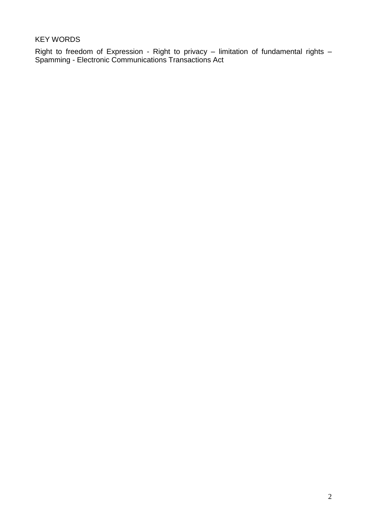KEY WORDS

Right to freedom of Expression - Right to privacy – limitation of fundamental rights – Spamming - Electronic Communications Transactions Act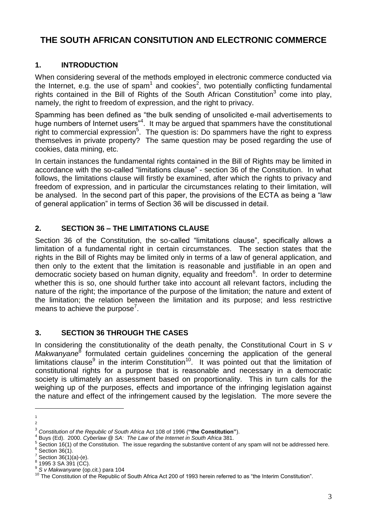# **THE SOUTH AFRICAN CONSITUTION AND ELECTRONIC COMMERCE**

# **1. INTRODUCTION**

When considering several of the methods employed in electronic commerce conducted via the Internet, e.g. the use of spam<sup>1</sup> and cookies<sup>2</sup>, two potentially conflicting fundamental rights contained in the Bill of Rights of the South African Constitution<sup>3</sup> come into play, namely, the right to freedom of expression, and the right to privacy.

Spamming has been defined as "the bulk sending of unsolicited e-mail advertisements to huge numbers of Internet users"<sup>4</sup> . It may be argued that spammers have the constitutional right to commercial expression<sup>5</sup>. The question is: Do spammers have the right to express themselves in private property? The same question may be posed regarding the use of cookies, data mining, etc.

In certain instances the fundamental rights contained in the Bill of Rights may be limited in accordance with the so-called "limitations clause" - section 36 of the Constitution. In what follows, the limitations clause will firstly be examined, after which the rights to privacy and freedom of expression, and in particular the circumstances relating to their limitation, will be analysed. In the second part of this paper, the provisions of the ECTA as being a "law of general application" in terms of Section 36 will be discussed in detail.

# **2. SECTION 36 – THE LIMITATIONS CLAUSE**

Section 36 of the Constitution, the so-called "limitations clause", specifically allows a limitation of a fundamental right in certain circumstances. The section states that the rights in the Bill of Rights may be limited only in terms of a law of general application, and then only to the extent that the limitation is reasonable and justifiable in an open and democratic society based on human dignity, equality and freedom<sup>6</sup>. In order to determine whether this is so, one should further take into account all relevant factors, including the nature of the right; the importance of the purpose of the limitation; the nature and extent of the limitation; the relation between the limitation and its purpose; and less restrictive means to achieve the purpose<sup>7</sup>.

# **3. SECTION 36 THROUGH THE CASES**

In considering the constitutionality of the death penalty, the Constitutional Court in S *v*  Makwanyane<sup>8</sup> formulated certain guidelines concerning the application of the general limitations clause<sup>9</sup> in the interim Constitution<sup>10</sup>. It was pointed out that the limitation of constitutional rights for a purpose that is reasonable and necessary in a democratic society is ultimately an assessment based on proportionality. This in turn calls for the weighing up of the purposes, effects and importance of the infringing legislation against the nature and effect of the infringement caused by the legislation. The more severe the

 $\overline{a}$ 1  $\overline{2}$ 

<sup>3</sup> *Constitution of the Republic of South Africa* Act 108 of 1996 (**"the Constitution"**).

<sup>4</sup> Buys (Ed). 2000. *Cyberlaw @ SA: The Law of the Internet in South Africa* 381.

 $5$  Section 16(1) of the Constitution. The issue regarding the substantive content of any spam will not be addressed here.

 $\frac{6}{7}$  Section 36(1).<br> $\frac{7}{7}$  Section 36(1).

Section 36(1)(a)-(e).

<sup>8</sup> 1995 3 SA 391 (CC).

<sup>9</sup> *S v Makwanyane* (op.cit.) para 104

<sup>&</sup>lt;sup>10</sup> The Constitution of the Republic of South Africa Act 200 of 1993 herein referred to as "the Interim Constitution".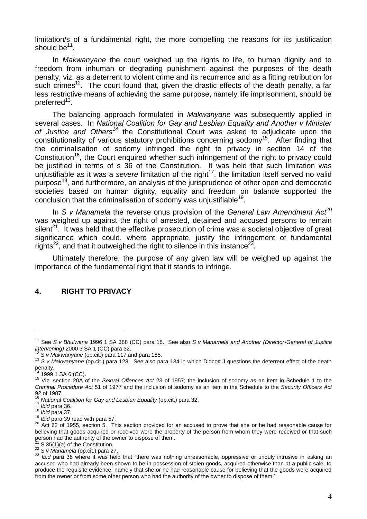limitation/s of a fundamental right, the more compelling the reasons for its justification should be $^{11}$ .

In *Makwanyane* the court weighed up the rights to life, to human dignity and to freedom from inhuman or degrading punishment against the purposes of the death penalty, viz. as a deterrent to violent crime and its recurrence and as a fitting retribution for such crimes<sup>12</sup>. The court found that, given the drastic effects of the death penalty, a far less restrictive means of achieving the same purpose, namely life imprisonment, should be preferred<sup>13</sup>.

The balancing approach formulated in *Makwanyane* was subsequently applied in several cases. In *National Coalition for Gay and Lesbian Equality and Another v Minister of Justice and Others<sup>14</sup>* the Constitutional Court was asked to adjudicate upon the constitutionality of various statutory prohibitions concerning sodomy<sup>15</sup>. After finding that the criminalisation of sodomy infringed the right to privacy in section 14 of the Constitution<sup>16</sup>, the Court enquired whether such infringement of the right to privacy could be justified in terms of s 36 of the Constitution. It was held that such limitation was be justifiable as it was a *severe* limitation of the right<sup>17</sup>, the limitation itself served no valid unjustifiable as it was a *severe* limitation of the right<sup>17</sup>, the limitation itself served no valid purpose<sup>18</sup>, and furthermore, an analysis of the jurisprudence of other open and democratic societies based on human dignity, equality and freedom on balance supported the conclusion that the criminalisation of sodomy was unjustifiable<sup>19</sup>.

In *S v Manamela* the reverse onus provision of the *General Law Amendment Act*<sup>20</sup> was weighed up against the right of arrested, detained and accused persons to remain silent<sup>21</sup>. It was held that the effective prosecution of crime was a societal objective of great significance which could, where appropriate, justify the infringement of fundamental rights<sup>22</sup>, and that it outweighed the right to silence in this instance<sup>23</sup>.

Ultimately therefore, the purpose of any given law will be weighed up against the importance of the fundamental right that it stands to infringe.

#### **4. RIGHT TO PRIVACY**

<sup>11</sup> See *S v Bhulwana* 1996 1 SA 388 (CC) para 18. See also *S v Manamela and Another (Director-General of Justice intervening)* 2000 3 SA 1 (CC) para 32.

<sup>12</sup> *S v Makwanyane* (op.cit.) para 117 and para 185.

<sup>13</sup> *S v Makwanyane* (op.cit.) para 128. See also para 184 in which Didcott J questions the deterrent effect of the death penalty.

<sup>1999 1</sup> SA 6 (CC).

<sup>15</sup> Viz. section 20A of the *Sexual Offences Act* 23 of 1957; the inclusion of sodomy as an item in Schedule 1 to the *Criminal Procedure Act* 51 of 1977 and the inclusion of sodomy as an item in the Schedule to the *Security Officers Act* 92 of 1987.

<sup>&</sup>lt;sup>16</sup> National Coalition for Gay and Lesbian Equality (op.cit.) para 32.

<sup>17</sup> *Ibid* para 36.

<sup>18</sup> *Ibid* para 37.

<sup>19</sup> *Ibid* para 39 read with para 57.

<sup>20</sup> Act 62 of 1955, section 5. This section provided for an accused to prove that she or he had reasonable cause for believing that goods acquired or received were the property of the person from whom they were received or that such person had the authority of the owner to dispose of them.

 $2^2$ <sup>21</sup> S 35(1)(a) of the Constitution.

<sup>22</sup> *S v Manamela* (op.cit.) para 27.

<sup>23</sup> *Ibid* para 38 where it was held that "there was nothing unreasonable, oppressive or unduly intrusive in asking an accused who had already been shown to be in possession of stolen goods, acquired otherwise than at a public sale, to produce the requisite evidence, namely that she or he had reasonable cause for believing that the goods were acquired from the owner or from some other person who had the authority of the owner to dispose of them."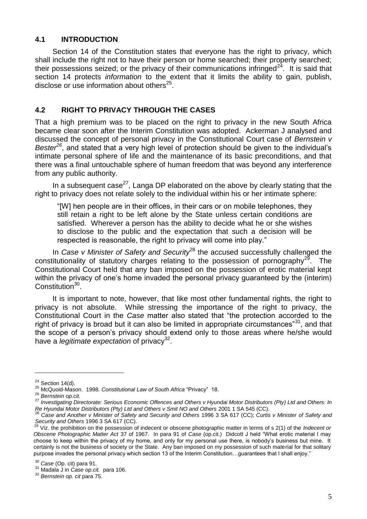### **4.1 INTRODUCTION**

Section 14 of the Constitution states that everyone has the right to privacy, which shall include the right not to have their person or home searched; their property searched; their possessions seized; or the privacy of their communications infringed<sup>24</sup>. It is said that section 14 protects *information* to the extent that it limits the ability to gain, publish, disclose or use information about others $25$ .

#### **4.2 RIGHT TO PRIVACY THROUGH THE CASES**

That a high premium was to be placed on the right to privacy in the new South Africa became clear soon after the Interim Constitution was adopted. Ackerman J analysed and discussed the concept of personal privacy in the Constitutional Court case of *Bernstein v Bester<sup>26</sup>*, and stated that a very high level of protection should be given to the individual's intimate personal sphere of life and the maintenance of its basic preconditions, and that there was a final untouchable sphere of human freedom that was beyond any interference from any public authority.

In a subsequent case<sup>27</sup>, Langa DP elaborated on the above by clearly stating that the right to privacy does not relate solely to the individual within his or her intimate sphere:

"[W] hen people are in their offices, in their cars or on mobile telephones, they still retain a right to be left alone by the State unless certain conditions are satisfied. Wherever a person has the ability to decide what he or she wishes to disclose to the public and the expectation that such a decision will be respected is reasonable, the right to privacy will come into play."

In *Case v Minister of Safety and Security*<sup>28</sup> the accused successfully challenged the constitutionality of statutory charges relating to the possession of pornography<sup>29</sup>. The Constitutional Court held that any ban imposed on the possession of erotic material kept within the privacy of one's home invaded the personal privacy guaranteed by the (interim) Constitution<sup>30</sup>.

It is important to note, however, that like most other fundamental rights, the right to privacy is not absolute. While stressing the importance of the right to privacy, the Constitutional Court in the *Case* matter also stated that "the protection accorded to the right of privacy is broad but it can also be limited in appropriate circumstances<sup>"31</sup>, and that the scope of a person's privacy should extend only to those areas where he/she would have a *legitimate expectation* of privacy<sup>32</sup>.

 $24$  Section 14(d).

<sup>25</sup> McQuoid-Mason. 1998. *Constitutional Law of South Africa* "Privacy" 18.

<sup>26</sup> *Bernstein op.cit.*

<sup>27</sup> *Investigating Directorate: Serious Economic Offences and Others v Hyundai Motor Distributors (Pty) Ltd and Others: In Re Hyundai Motor Distributors (Pty) Ltd and Others v Smit NO and Others* 2001 1 SA 545 (CC).

<sup>28</sup> *Case and Another v Minister of Safety and Security and Others* 1996 3 SA 617 (CC); *Curtis v Minister of Safety and Security and Others* 1996 3 SA 617 (CC).

<sup>29</sup> Viz. the prohibition on the possession of indecent or obscene photographic matter in terms of s 2(1) of the *Indecent or Obscene Photographic Matter Act* 37 of 1967. In para 91 of *Case* (op.cit.) Didcott J held "What erotic material I may choose to keep within the privacy of my home, and only for my personal use there, is nobody's business but mine. It certainly is not the business of society or the State. Any ban imposed on my possession of such material for that solitary purpose invades the personal privacy which section 13 of the Interim Constitution...guarantees that I shall enjoy."

<sup>30</sup> *Case* (Op. cit) para 91.

<sup>31</sup> Madala J in *Case op.cit.* para 106.

<sup>32</sup> *Bernstein op. cit* para 75.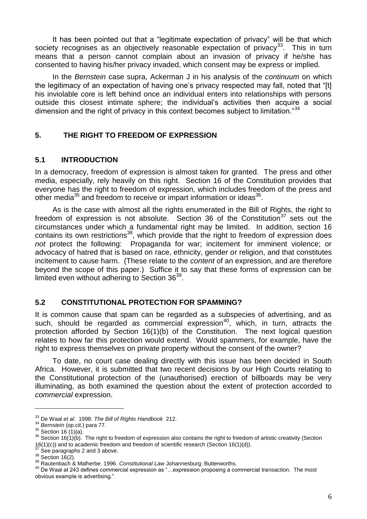It has been pointed out that a "legitimate expectation of privacy" will be that which society recognises as an objectively reasonable expectation of privacy<sup>33</sup>. This in turn means that a person cannot complain about an invasion of privacy if he/she has consented to having his/her privacy invaded, which consent may be express or implied.

In the *Bernstein* case supra, Ackerman J in his analysis of the *continuum* on which the legitimacy of an expectation of having one's privacy respected may fall, noted that "[t] his inviolable core is left behind once an individual enters into relationships with persons outside this closest intimate sphere; the individual's activities then acquire a social dimension and the right of privacy in this context becomes subiect to limitation."<sup>34</sup>

### **5. THE RIGHT TO FREEDOM OF EXPRESSION**

#### **5.1 INTRODUCTION**

In a democracy, freedom of expression is almost taken for granted. The press and other media, especially, rely heavily on this right. Section 16 of the Constitution provides that everyone has the right to freedom of expression, which includes freedom of the press and other media $35$  and freedom to receive or impart information or ideas $36$ .

As is the case with almost all the rights enumerated in the Bill of Rights, the right to freedom of expression is not absolute. Section 36 of the Constitution<sup>37</sup> sets out the circumstances under which a fundamental right may be limited. In addition, section 16 contains its own restrictions<sup>38</sup>, which provide that the right to freedom of expression does *not* protect the following: Propaganda for war; incitement for imminent violence; or advocacy of hatred that is based on race, ethnicity, gender or religion, and that constitutes incitement to cause harm. (These relate to the *content* of an expression, and are therefore beyond the scope of this paper.) Suffice it to say that these forms of expression can be limited even without adhering to Section 36<sup>39</sup>.

#### **5.2 CONSTITUTIONAL PROTECTION FOR SPAMMING?**

It is common cause that spam can be regarded as a subspecies of advertising, and as such, should be regarded as commercial expression<sup>40</sup>, which, in turn, attracts the protection afforded by Section 16(1)(b) of the Constitution. The next logical question relates to how far this protection would extend. Would spammers, for example, have the right to express themselves on private property without the consent of the owner?

To date, no court case dealing directly with this issue has been decided in South Africa. However, it is submitted that two recent decisions by our High Courts relating to the Constitutional protection of the (unauthorised) erection of billboards may be very illuminating, as both examined the question about the extent of protection accorded to *commercial* expression.

<sup>33</sup> De Waal *et al*. 1998. *The Bill of Rights Handbook* 212.

<sup>34</sup> *Bernstein* (op.cit.) para 77.

 $35$  Section 16 (1)(a).

<sup>36</sup> Section 16(1)(b). The right to freedom of expression also contains the right to freedom of artistic creativity (Section 16(1)(c)) and to academic freedom and freedom of scientific research (Section 16(1)(d)).

See paragraphs 2 and 3 above.

 $38$  Section 16(2).

<sup>39</sup> Rautenbach & Malherbe. 1996. *Constitutional Law* Johannesburg: Butterworths.

<sup>40</sup> De Waal at 243 defines commercial expression as "…expression proposing a commercial transaction. The most obvious example is advertising."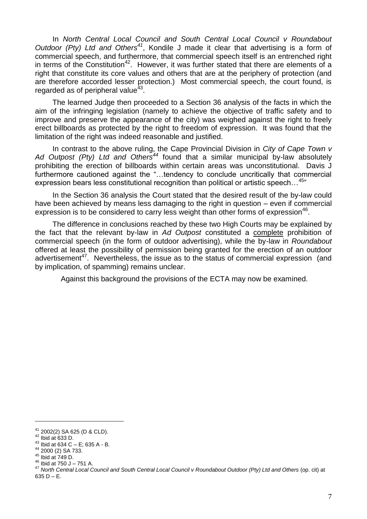In *North Central Local Council and South Central Local Council v Roundabout Outdoor (Pty) Ltd and Others<sup>41</sup>*, Kondile J made it clear that advertising is a form of commercial speech, and furthermore, that commercial speech itself is an entrenched right in terms of the Constitution<sup>42</sup>. However, it was further stated that there are elements of a right that constitute its core values and others that are at the periphery of protection (and are therefore accorded lesser protection.) Most commercial speech, the court found, is regarded as of peripheral value $43$ .

The learned Judge then proceeded to a Section 36 analysis of the facts in which the aim of the infringing legislation (namely to achieve the objective of traffic safety and to improve and preserve the appearance of the city) was weighed against the right to freely erect billboards as protected by the right to freedom of expression. It was found that the limitation of the right was indeed reasonable and justified.

In contrast to the above ruling, the Cape Provincial Division in *City of Cape Town v Ad Outpost (Pty) Ltd and Others<sup>44</sup>* found that a similar municipal by-law absolutely prohibiting the erection of billboards within certain areas was unconstitutional. Davis J furthermore cautioned against the "…tendency to conclude uncritically that commercial expression bears less constitutional recognition than political or artistic speech...<sup>45</sup>

In the Section 36 analysis the Court stated that the desired result of the by-law could have been achieved by means less damaging to the right in question – even if commercial expression is to be considered to carry less weight than other forms of expression $46$ .

The difference in conclusions reached by these two High Courts may be explained by the fact that the relevant by-law in *Ad Outpost* constituted a complete prohibition of commercial speech (in the form of outdoor advertising), while the by-law in *Roundabout* offered at least the possibility of permission being granted for the erection of an outdoor advertisement<sup>47</sup>. Nevertheless, the issue as to the status of commercial expression (and by implication, of spamming) remains unclear.

Against this background the provisions of the ECTA may now be examined.

<sup>41</sup> 2002(2) SA 625 (D & CLD).

 $42$  Ibid at 633 D.

 $43$  Ibid at 634 C – E; 635 A - B.

<sup>44</sup> 2000 (2) SA 733.

 $45$  Ibid at 749 D.

 $46$  Ibid at 750 J – 751 A.

<sup>47</sup> *North Central Local Council and South Central Local Council v Roundabout Outdoor (Pty) Ltd and Others* (op. cit) at  $635 D - E.$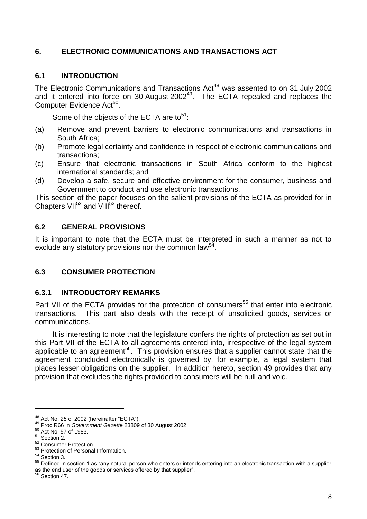### **6. ELECTRONIC COMMUNICATIONS AND TRANSACTIONS ACT**

### **6.1 INTRODUCTION**

The Electronic Communications and Transactions Act<sup>48</sup> was assented to on 31 July 2002 and it entered into force on 30 August  $2002^{49}$ . The ECTA repealed and replaces the Computer Evidence Act<sup>50</sup>.

Some of the objects of the ECTA are to<sup>51</sup>:

- (a) Remove and prevent barriers to electronic communications and transactions in South Africa;
- (b) Promote legal certainty and confidence in respect of electronic communications and transactions;
- (c) Ensure that electronic transactions in South Africa conform to the highest international standards; and
- (d) Develop a safe, secure and effective environment for the consumer, business and Government to conduct and use electronic transactions.

This section of the paper focuses on the salient provisions of the ECTA as provided for in Chapters VII $^{52}$  and VIII $^{53}$  thereof.

### **6.2 GENERAL PROVISIONS**

It is important to note that the ECTA must be interpreted in such a manner as not to exclude any statutory provisions nor the common law<sup>54</sup>.

# **6.3 CONSUMER PROTECTION**

#### **6.3.1 INTRODUCTORY REMARKS**

Part VII of the ECTA provides for the protection of consumers<sup>55</sup> that enter into electronic transactions. This part also deals with the receipt of unsolicited goods, services or communications.

It is interesting to note that the legislature confers the rights of protection as set out in this Part VII of the ECTA to all agreements entered into, irrespective of the legal system applicable to an agreement<sup>56</sup>. This provision ensures that a supplier cannot state that the agreement concluded electronically is governed by, for example, a legal system that places lesser obligations on the supplier. In addition hereto, section 49 provides that any provision that excludes the rights provided to consumers will be null and void.

<sup>50</sup> Act No. 57 of 1983.

 $\overline{a}$ 

 $56$  Section 47.

 $^{48}$  Act No. 25 of 2002 (hereinafter "ECTA").

<sup>49</sup> Proc R66 in *Government Gazette* 23809 of 30 August 2002.

 $51$  Section 2.

<sup>52</sup> Consumer Protection.

<sup>53</sup> Protection of Personal Information.

<sup>54</sup> Section 3.

<sup>55</sup> Defined in section 1 as "any natural person who enters or intends entering into an electronic transaction with a supplier as the end user of the goods or services offered by that supplier".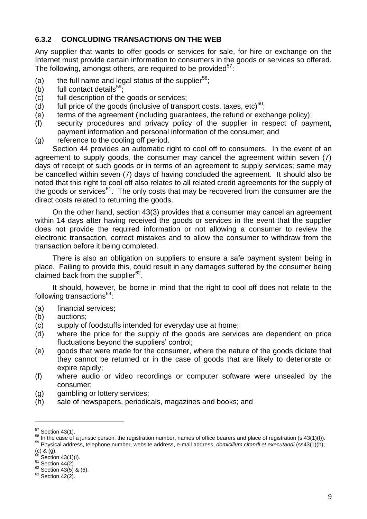#### **6.3.2 CONCLUDING TRANSACTIONS ON THE WEB**

Any supplier that wants to offer goods or services for sale, for hire or exchange on the Internet must provide certain information to consumers in the goods or services so offered. The following, amongst others, are required to be provided $57$ :

- (a) the full name and legal status of the supplier<sup>58</sup>;
- (b) full contact details<sup>59</sup>;
- (c) full description of the goods or services;
- (d) full price of the goods (inclusive of transport costs, taxes, etc)<sup>60</sup>;
- (e) terms of the agreement (including guarantees, the refund or exchange policy);
- (f) security procedures and privacy policy of the supplier in respect of payment, payment information and personal information of the consumer; and
- (g) reference to the cooling off period.

Section 44 provides an automatic right to cool off to consumers. In the event of an agreement to supply goods, the consumer may cancel the agreement within seven (7) days of receipt of such goods or in terms of an agreement to supply services; same may be cancelled within seven (7) days of having concluded the agreement. It should also be noted that this right to cool off also relates to all related credit agreements for the supply of the goods or services<sup>61</sup>. The only costs that may be recovered from the consumer are the direct costs related to returning the goods.

On the other hand, section 43(3) provides that a consumer may cancel an agreement within 14 days after having received the goods or services in the event that the supplier does not provide the required information or not allowing a consumer to review the electronic transaction, correct mistakes and to allow the consumer to withdraw from the transaction before it being completed.

There is also an obligation on suppliers to ensure a safe payment system being in place. Failing to provide this, could result in any damages suffered by the consumer being claimed back from the supplier<sup>62</sup>.

It should, however, be borne in mind that the right to cool off does not relate to the following transactions $63$ :

- (a) financial services;
- (b) auctions;
- (c) supply of foodstuffs intended for everyday use at home;
- (d) where the price for the supply of the goods are services are dependent on price fluctuations beyond the suppliers' control;
- (e) goods that were made for the consumer, where the nature of the goods dictate that they cannot be returned or in the case of goods that are likely to deteriorate or expire rapidly;
- (f) where audio or video recordings or computer software were unsealed by the consumer;
- (g) gambling or lottery services;
- (h) sale of newspapers, periodicals, magazines and books; and

<sup>59</sup> Physical address, telephone number, website address, e-mail address, *domicilium citandi et executandi* (ss43(1)(b);

 $\overline{a}$ 

 $61$  Section 44(2).

 $57$  Section 43(1).

 $58$  In the case of a juristic person, the registration number, names of office bearers and place of registration (s 43(1)(f)).

 $(c)$  &  $(g)$ .

Section  $43(1)(i)$ .

 $62$  Section 43(5) & (6).

 $63$  Section 42(2).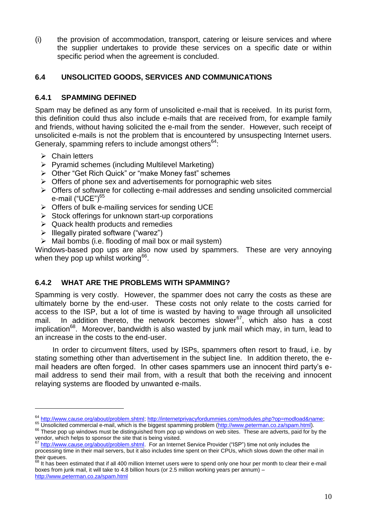(i) the provision of accommodation, transport, catering or leisure services and where the supplier undertakes to provide these services on a specific date or within specific period when the agreement is concluded.

#### **6.4 UNSOLICITED GOODS, SERVICES AND COMMUNICATIONS**

#### **6.4.1 SPAMMING DEFINED**

Spam may be defined as any form of unsolicited e-mail that is received. In its purist form, this definition could thus also include e-mails that are received from, for example family and friends, without having solicited the e-mail from the sender. However, such receipt of unsolicited e-mails is not the problem that is encountered by unsuspecting Internet users. Generaly, spamming refers to include amongst others<sup>64</sup>:

 $\triangleright$  Chain letters

 $\overline{a}$ 

- $\triangleright$  Pyramid schemes (including Multilevel Marketing)
- Other "Get Rich Quick" or "make Money fast" schemes
- $\triangleright$  Offers of phone sex and advertisements for pornographic web sites
- $\triangleright$  Offers of software for collecting e-mail addresses and sending unsolicited commercial e-mail ("UCE")<sup>65</sup>
- $\triangleright$  Offers of bulk e-mailing services for sending UCE
- $\triangleright$  Stock offerings for unknown start-up corporations
- $\triangleright$  Quack health products and remedies
- $\triangleright$  Illegally pirated software ("warez")
- $\triangleright$  Mail bombs (i.e. flooding of mail box or mail system)

Windows-based pop ups are also now used by spammers. These are very annoying when they pop up whilst working<sup>66</sup>.

#### **6.4.2 WHAT ARE THE PROBLEMS WITH SPAMMING?**

Spamming is very costly. However, the spammer does not carry the costs as these are ultimately borne by the end-user. These costs not only relate to the costs carried for access to the ISP, but a lot of time is wasted by having to wage through all unsolicited mail. In addition thereto, the network becomes slower $^{67}$ , which also has a cost  $i$ mplication<sup>68</sup>. Moreover, bandwidth is also wasted by junk mail which may, in turn, lead to an increase in the costs to the end-user.

In order to circumvent filters, used by ISPs, spammers often resort to fraud, i.e. by stating something other than advertisement in the subject line. In addition thereto, the email headers are often forged. In other cases spammers use an innocent third party's email address to send their mail from, with a result that both the receiving and innocent relaying systems are flooded by unwanted e-mails.

<sup>&</sup>lt;sup>64</sup> [http://www.cause.org/about/problem.shtml;](http://www.cause.org/about/problem.shtml) [http://internetprivacyfordummies.com/modules.php?op=modload&name;](http://internetprivacyfordummies.com/modules.php?op=modload&name)

<sup>65</sup> Unsolicited commercial e-mail, which is the biggest spamming problem [\(http://www.peterman.co.za/spam.html\)](http://www.peterman.co.za/spam.html).

<sup>&</sup>lt;sup>66</sup> These pop up windows must be distinguished from pop up windows on web sites. These are adverts, paid for by the vendor, which helps to sponsor the site that is being visited.

<sup>&</sup>lt;sup>67</sup> http://www.cause.org/about/problem.shtml</u>. For an Internet Service Provider ("ISP") time not only includes the processing time in their mail servers, but it also includes time spent on their CPUs, which slows down the other mail in their queues.

It has been estimated that if all 400 million Internet users were to spend only one hour per month to clear their e-mail boxes from junk mail, it will take to 4.8 billion hours (or 2.5 million working years per annum) – <http://www.peterman.co.za/spam.html>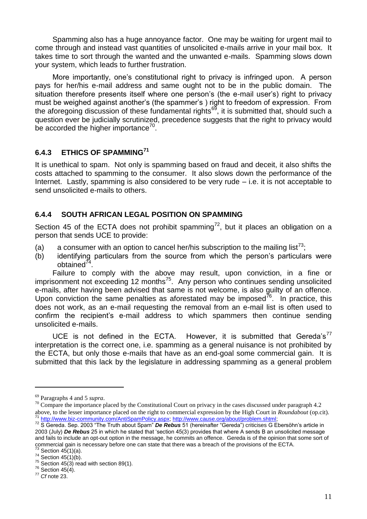Spamming also has a huge annoyance factor. One may be waiting for urgent mail to come through and instead vast quantities of unsolicited e-mails arrive in your mail box. It takes time to sort through the wanted and the unwanted e-mails. Spamming slows down your system, which leads to further frustration.

More importantly, one's constitutional right to privacy is infringed upon. A person pays for her/his e-mail address and same ought not to be in the public domain. The situation therefore presents itself where one person's (the e-mail user's) right to privacy must be weighed against another's (the spammer's ) right to freedom of expression. From the aforegoing discussion of these fundamental rights<sup>69</sup>, it is submitted that, should such a question ever be judicially scrutinized, precedence suggests that the right to privacy would be accorded the higher importance $70$ .

# **6.4.3 ETHICS OF SPAMMING<sup>71</sup>**

It is unethical to spam. Not only is spamming based on fraud and deceit, it also shifts the costs attached to spamming to the consumer. It also slows down the performance of the Internet. Lastly, spamming is also considered to be very rude – i.e. it is not acceptable to send unsolicited e-mails to others.

# **6.4.4 SOUTH AFRICAN LEGAL POSITION ON SPAMMING**

Section 45 of the ECTA does not prohibit spamming<sup>72</sup>, but it places an obligation on a person that sends UCE to provide:

- (a) a consumer with an option to cancel her/his subscription to the mailing list<sup>73</sup>;
- (b) identifying particulars from the source from which the person's particulars were obtained $^{74}$ .

Failure to comply with the above may result, upon conviction, in a fine or imprisonment not exceeding 12 months<sup>75</sup>. Any person who continues sending unsolicited e-mails, after having been advised that same is not welcome, is also guilty of an offence. Upon conviction the same penalties as aforestated may be imposed<sup>76</sup>. In practice, this does not work, as an e-mail requesting the removal from an e-mail list is often used to confirm the recipient's e-mail address to which spammers then continue sending unsolicited e-mails.

UCE is not defined in the ECTA. However, it is submitted that Gereda's<sup>77</sup> interpretation is the correct one, i.e. spamming as a general nuisance is not prohibited by the ECTA, but only those e-mails that have as an end-goal some commercial gain. It is submitted that this lack by the legislature in addressing spamming as a general problem

<sup>69</sup> Paragraphs 4 and 5 *supra*.

 $70$  Compare the importance placed by the Constitutional Court on privacy in the cases discussed under paragraph 4.2 above, to the lesser importance placed on the right to commercial expression by the High Court in *Roundabout* (op.cit). <sup>71</sup> [http://www.biz-community.com/AntiSpamPolicy.aspx;](http://www.biz-community.com/AntiSpamPolicy.aspx) [http://www.cause.org/about/problem.shtml;](http://www.cause.org/about/problem.shtml)

<sup>72</sup> S Gereda. Sep. 2003 "The Truth about Spam" *De Rebus* 51 (hereinafter "Gereda") criticises G Ebersöhn's article in 2003 (July) *De Rebus* 25 in which he stated that 'section 45(3) provides that where A sends B an unsolicited message and fails to include an opt-out option in the message, he commits an offence. Gereda is of the opinion that some sort of commercial gain is necessary before one can state that there was a breach of the provisions of the ECTA.

Section  $45(1)(a)$ .  $74$  Section  $45(1)(b)$ .

 $75$  Section 45(3) read with section 89(1).

 $76$  Section 45(4).

<sup>77</sup> *Cf* note 23.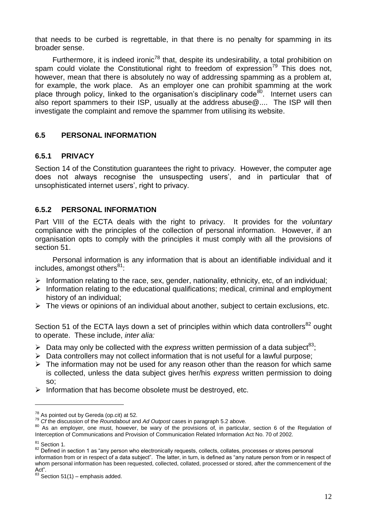that needs to be curbed is regrettable, in that there is no penalty for spamming in its broader sense.

Furthermore, it is indeed ironic<sup>78</sup> that, despite its undesirability, a total prohibition on spam could violate the Constitutional right to freedom of expression<sup>79</sup> This does not, however, mean that there is absolutely no way of addressing spamming as a problem at, for example, the work place. As an employer one can prohibit spamming at the work place through policy, linked to the organisation's disciplinary code<sup>80</sup>. Internet users can also report spammers to their ISP, usually at the address abuse@.... The ISP will then investigate the complaint and remove the spammer from utilising its website.

#### **6.5 PERSONAL INFORMATION**

#### **6.5.1 PRIVACY**

Section 14 of the Constitution guarantees the right to privacy. However, the computer age does not always recognise the unsuspecting users', and in particular that of unsophisticated internet users', right to privacy.

#### **6.5.2 PERSONAL INFORMATION**

Part VIII of the ECTA deals with the right to privacy. It provides for the *voluntary* compliance with the principles of the collection of personal information. However, if an organisation opts to comply with the principles it must comply with all the provisions of section 51.

Personal information is any information that is about an identifiable individual and it includes, amongst others $81$ :

- $\triangleright$  Information relating to the race, sex, gender, nationality, ethnicity, etc, of an individual;
- $\triangleright$  Information relating to the educational qualifications; medical, criminal and employment history of an individual;
- $\triangleright$  The views or opinions of an individual about another, subject to certain exclusions, etc.

Section 51 of the ECTA lays down a set of principles within which data controllers<sup>82</sup> ought to operate. These include, *inter alia:*

- $\triangleright$  Data may only be collected with the *express* written permission of a data subject<sup>83</sup>;
- $\triangleright$  Data controllers may not collect information that is not useful for a lawful purpose;
- $\triangleright$  The information may not be used for any reason other than the reason for which same is collected, unless the data subject gives her/his *express* written permission to doing so;
- $\triangleright$  Information that has become obsolete must be destroved, etc.

 $\overline{a}$ 

82 Defined in section 1 as "any person who electronically requests, collects, collates, processes or stores personal information from or in respect of a data subject". The latter, in turn, is defined as "any nature person from or in respect of whom personal information has been requested, collected, collated, processed or stored, after the commencement of the Act".

<sup>&</sup>lt;sup>78</sup> As pointed out by Gereda (op.cit) at 52.

<sup>79</sup> *Cf* the discussion of the *Roundabout* and *Ad Outpost* cases in paragraph 5.2 above.

<sup>80</sup> As an employer, one must, however, be wary of the provisions of, in particular, section 6 of the Regulation of Interception of Communications and Provision of Communication Related Information Act No. 70 of 2002.

<sup>&</sup>lt;sup>81</sup> Section 1.

 $83$  Section 51(1) – emphasis added.